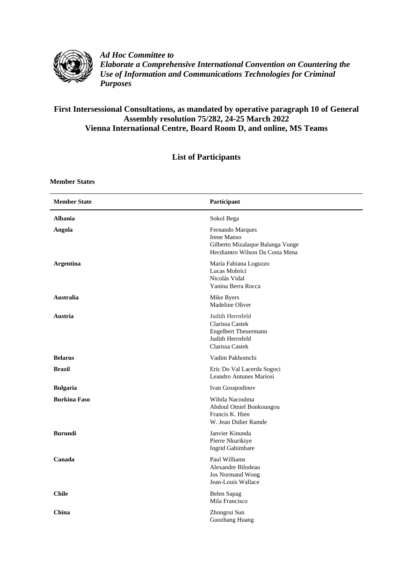

*Ad Hoc Committee to Elaborate a Comprehensive International Convention on Countering the Use of Information and Communications Technologies for Criminal Purposes*

## **First Intersessional Consultations, as mandated by operative paragraph 10 of General Assembly resolution 75/282, 24-25 March 2022 Vienna International Centre, Board Room D, and online, MS Teams**

## **List of Participants**

**Member States**

| <b>Member State</b> | Participant                                                                                               |
|---------------------|-----------------------------------------------------------------------------------------------------------|
| <b>Albania</b>      | Sokol Bega                                                                                                |
| Angola              | Fernando Marques<br>Irene Manso<br>Gilberto Mizalaque Balanga Vunge<br>Hecdiantro Wilson Da Costa Mena    |
| <b>Argentina</b>    | María Fabiana Loguzzo<br>Lucas Mobrici<br>Nicolás Vidal<br>Yanina Berra Rocca                             |
| Australia           | Mike Byers<br>Madeline Oliver                                                                             |
| Austria             | Judith Herrnfeld<br>Clarissa Castek<br><b>Engelbert Theuermann</b><br>Judith Herrnfeld<br>Clarissa Castek |
| <b>Belarus</b>      | Vadim Pakhomchi                                                                                           |
| <b>Brazil</b>       | Eric Do Val Lacerda Sogoci<br>Leandro Antunes Mariosi                                                     |
| <b>Bulgaria</b>     | Ivan Gosspodinov                                                                                          |
| <b>Burkina Faso</b> | Wibila Nacoulma<br>Abdoul Otniel Bonkoungou<br>Francis K. Hien<br>W. Jean Didier Ramde                    |
| <b>Burundi</b>      | Janvier Kinunda<br>Pierre Nkurikiye<br>Ingrid Gahimbare                                                   |
| Canada              | Paul Williams<br>Alexandre Bilodeau<br><b>Jos Normand Wong</b><br>Jean-Louis Wallace                      |
| <b>Chile</b>        | <b>Belen Sapag</b><br>Mila Francisco                                                                      |
| China               | Zhongrui Sun<br>Guozhang Huang                                                                            |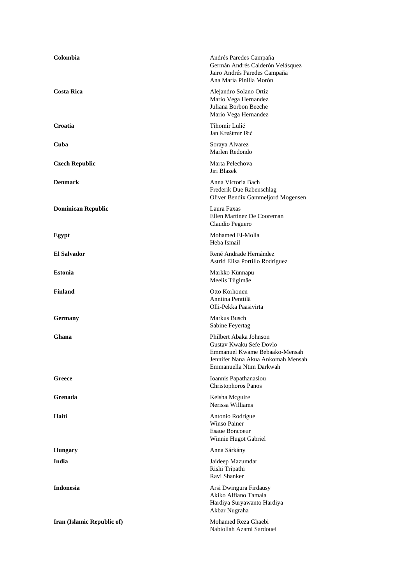| Colombia                   | Andrés Paredes Campaña<br>Germán Andrés Calderón Velásquez<br>Jairo Andrés Paredes Campaña<br>Ana María Pinilla Morón                              |
|----------------------------|----------------------------------------------------------------------------------------------------------------------------------------------------|
| <b>Costa Rica</b>          | Alejandro Solano Ortiz<br>Mario Vega Hernandez<br>Juliana Borbon Beeche<br>Mario Vega Hernandez                                                    |
| Croatia                    | Tihomir Lulić<br>Jan Krešimir Išić                                                                                                                 |
| Cuba                       | Soraya Alvarez<br>Marlen Redondo                                                                                                                   |
| <b>Czech Republic</b>      | Marta Pelechova<br>Jiri Blazek                                                                                                                     |
| <b>Denmark</b>             | Anna Victoria Bach<br>Frederik Due Rabenschlag<br>Oliver Bendix Gammeljord Mogensen                                                                |
| <b>Dominican Republic</b>  | Laura Faxas<br>Ellen Martinez De Cooreman<br>Claudio Peguero                                                                                       |
| Egypt                      | Mohamed El-Molla<br>Heba Ismail                                                                                                                    |
| <b>El Salvador</b>         | René Andrade Hernández<br>Astrid Elisa Portillo Rodríguez                                                                                          |
| <b>Estonia</b>             | Markko Künnapu<br>Meelis Tiigimäe                                                                                                                  |
| <b>Finland</b>             | Otto Korhonen<br>Anniina Penttilä<br>Olli-Pekka Paasivirta                                                                                         |
| Germany                    | Markus Busch<br>Sabine Feyertag                                                                                                                    |
| Ghana                      | Philbert Abaka Johnson<br>Gustav Kwaku Sefe Dovlo<br>Emmanuel Kwame Bebaako-Mensah<br>Jennifer Nana Akua Ankomah Mensah<br>Emmanuella Ntim Darkwah |
| Greece                     | Ioannis Papathanasiou<br>Christophoros Panos                                                                                                       |
| Grenada                    | Keisha Mcguire<br>Nerissa Williams                                                                                                                 |
| Haiti                      | Antonio Rodrigue<br><b>Winso Painer</b><br><b>Esaue Boncoeur</b><br>Winnie Hugot Gabriel                                                           |
| <b>Hungary</b>             | Anna Sárkány                                                                                                                                       |
| India                      | Jaideep Mazumdar<br>Rishi Tripathi<br>Ravi Shanker                                                                                                 |
| <b>Indonesia</b>           | Arsi Dwingura Firdausy<br>Akiko Alfiano Tamala<br>Hardiya Suryawanto Hardiya<br>Akbar Nugraha                                                      |
| Iran (Islamic Republic of) | Mohamed Reza Ghaebi<br>Nabiollah Azami Sardouei                                                                                                    |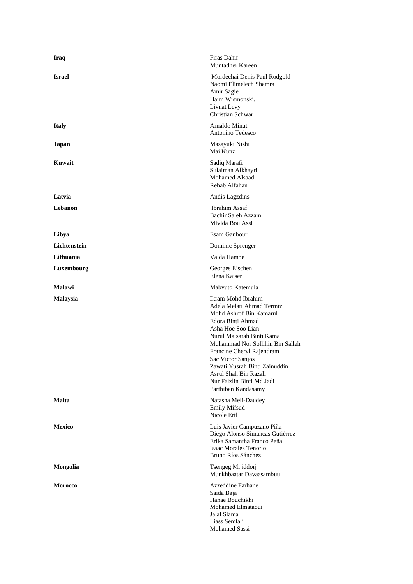| <b>Iraq</b>     | Firas Dahir<br>Muntadher Kareen                                                                                                                                                                                                                                                                                                                        |
|-----------------|--------------------------------------------------------------------------------------------------------------------------------------------------------------------------------------------------------------------------------------------------------------------------------------------------------------------------------------------------------|
| <b>Israel</b>   | Mordechai Denis Paul Rodgold<br>Naomi Elimelech Shamra<br>Amir Sagie<br>Haim Wismonski,<br>Livnat Levy<br>Christian Schwar                                                                                                                                                                                                                             |
| <b>Italy</b>    | Arnaldo Minut<br>Antonino Tedesco                                                                                                                                                                                                                                                                                                                      |
| Japan           | Masayuki Nishi<br>Mai Kunz                                                                                                                                                                                                                                                                                                                             |
| Kuwait          | Sadiq Marafi<br>Sulaiman Alkhayri<br>Mohamed Alsaad<br>Rehab Alfahan                                                                                                                                                                                                                                                                                   |
| Latvia          | Andis Lagzdins                                                                                                                                                                                                                                                                                                                                         |
| Lebanon         | <b>Ibrahim Assaf</b><br>Bachir Saleh Azzam<br>Mivida Bou Assi                                                                                                                                                                                                                                                                                          |
| Libya           | Esam Ganbour                                                                                                                                                                                                                                                                                                                                           |
| Lichtenstein    | Dominic Sprenger                                                                                                                                                                                                                                                                                                                                       |
| Lithuania       | Vaida Hampe                                                                                                                                                                                                                                                                                                                                            |
| Luxembourg      | Georges Eischen<br>Elena Kaiser                                                                                                                                                                                                                                                                                                                        |
| Malawi          | Mabvuto Katemula                                                                                                                                                                                                                                                                                                                                       |
| <b>Malaysia</b> | Ikram Mohd Ibrahim<br>Adela Melati Ahmad Termizi<br>Mohd Ashrof Bin Kamarul<br>Edora Binti Ahmad<br>Asha Hoe Soo Lian<br>Nurul Maisarah Binti Kama<br>Muhammad Nor Sollihin Bin Salleh<br>Francine Cheryl Rajendram<br>Sac Victor Sanjos<br>Zawati Yusrah Binti Zainuddin<br>Asrul Shah Bin Razali<br>Nur Faizlin Binti Md Jadi<br>Parthiban Kandasamy |
| Malta           | Natasha Meli-Daudey<br><b>Emily Mifsud</b><br>Nicole Ertl                                                                                                                                                                                                                                                                                              |
| <b>Mexico</b>   | Luis Javier Campuzano Piña<br>Diego Alonso Simancas Gutiérrez<br>Erika Samantha Franco Peña<br>Isaac Morales Tenorio<br>Bruno Ríos Sánchez                                                                                                                                                                                                             |
| Mongolia        | Tsengeg Mijiddorj<br>Munkhbaatar Davaasambuu                                                                                                                                                                                                                                                                                                           |
| <b>Morocco</b>  | Azzeddine Farhane<br>Saida Baja<br>Hanae Bouchikhi<br>Mohamed Elmataoui<br>Jalal Slama<br>Iliass Semlali<br>Mohamed Sassi                                                                                                                                                                                                                              |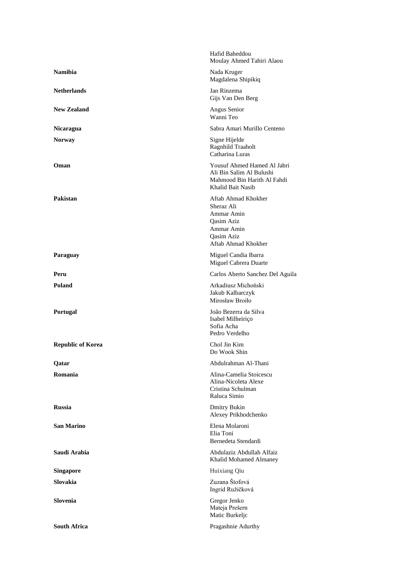|                          | Hafid Baheddou<br>Moulay Ahmed Tahiri Alaou                                                                             |
|--------------------------|-------------------------------------------------------------------------------------------------------------------------|
| <b>Namibia</b>           | Nada Kruger<br>Magdalena Shipikiq                                                                                       |
| <b>Netherlands</b>       | Jan Rinzema<br>Gijs Van Den Berg                                                                                        |
| <b>New Zealand</b>       | Angus Senior<br>Wanni Teo                                                                                               |
| <b>Nicaragua</b>         | Sabra Amari Murillo Centeno                                                                                             |
| <b>Norway</b>            | Signe Hijelde<br>Ragnhild Traaholt<br>Catharina Luras                                                                   |
| Oman                     | Yousuf Ahmed Hamed Al Jabri<br>Ali Bin Salim Al Bulushi<br>Mahmood Bin Harith Al Fahdi<br>Khalid Bait Nasib             |
| Pakistan                 | Aftab Ahmad Khokher<br>Sheraz Ali<br>Ammar Amin<br><b>Oasim Aziz</b><br>Ammar Amin<br>Oasim Aziz<br>Aftab Ahmad Khokher |
| Paraguay                 | Miguel Candia Ibarra<br>Miguel Cabrera Duarte                                                                           |
| Peru                     | Carlos Aberto Sanchez Del Aguila                                                                                        |
| Poland                   | Arkadiusz Michoński<br>Jakub Kalbarczyk<br>Mirosław Broiło                                                              |
| Portugal                 | João Bezerra da Silva<br>Isabel Milheiriço<br>Sofia Acha<br>Pedro Verdelho                                              |
| <b>Republic of Korea</b> | Chol Jin Kim<br>Do Wook Shin                                                                                            |
| Qatar                    | Abdulrahman Al-Thani                                                                                                    |
| Romania                  | Alina-Camelia Stoicescu<br>Alina-Nicoleta Alexe<br>Cristina Schulman<br>Raluca Simio                                    |
| <b>Russia</b>            | <b>Dmitry Bukin</b><br>Alexey Prikhodchenko                                                                             |
| San Marino               | Elena Molaroni<br>Elia Toni<br>Bernedeta Stendardi                                                                      |
| Saudi Arabia             | Abdulaziz Abdullah Alfaiz<br>Khalid Mohamed Almaney                                                                     |
| <b>Singapore</b>         | Huixiang Qiu                                                                                                            |
| Slovakia                 | Zuzana Štofová<br>Ingrid Ružičková                                                                                      |
| Slovenia                 | Gregor Jenko<br>Mateja Prešern<br>Matic Burkeljc                                                                        |
| <b>South Africa</b>      | Pragashnie Adurthy                                                                                                      |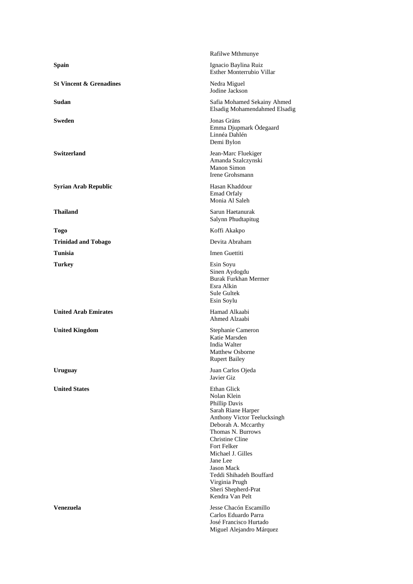|                                    | Rafilwe Mthmunye                                                                                                                                                                                                                                                                                                                                 |
|------------------------------------|--------------------------------------------------------------------------------------------------------------------------------------------------------------------------------------------------------------------------------------------------------------------------------------------------------------------------------------------------|
| <b>Spain</b>                       | Ignacio Baylina Ruiz<br>Esther Monterrubio Villar                                                                                                                                                                                                                                                                                                |
| <b>St Vincent &amp; Grenadines</b> | Nedra Miguel<br>Jodine Jackson                                                                                                                                                                                                                                                                                                                   |
| Sudan                              | Safia Mohamed Sekainy Ahmed<br>Elsadig Mohamendahmed Elsadig                                                                                                                                                                                                                                                                                     |
| <b>Sweden</b>                      | Jonas Gräns<br>Emma Djupmark Ödegaard<br>Linnéa Dahlén<br>Demi Bylon                                                                                                                                                                                                                                                                             |
| <b>Switzerland</b>                 | Jean-Marc Fluekiger<br>Amanda Szalczynski<br>Manon Simon<br>Irene Grohsmann                                                                                                                                                                                                                                                                      |
| <b>Syrian Arab Republic</b>        | Hasan Khaddour<br><b>Emad Orfaly</b><br>Monia Al Saleh                                                                                                                                                                                                                                                                                           |
| <b>Thailand</b>                    | Sarun Haetanurak<br>Salynn Phudtapitug                                                                                                                                                                                                                                                                                                           |
| <b>Togo</b>                        | Koffi Akakpo                                                                                                                                                                                                                                                                                                                                     |
| <b>Trinidad and Tobago</b>         | Devita Abraham                                                                                                                                                                                                                                                                                                                                   |
| <b>Tunisia</b>                     | Imen Guettiti                                                                                                                                                                                                                                                                                                                                    |
| <b>Turkey</b>                      | Esin Soyu<br>Sinen Aydogdu<br><b>Burak Furkhan Mermer</b><br>Esra Alkin<br>Sule Gultek<br>Esin Soylu                                                                                                                                                                                                                                             |
| <b>United Arab Emirates</b>        | Hamad Alkaabi<br>Ahmed Alzaabi                                                                                                                                                                                                                                                                                                                   |
| <b>United Kingdom</b>              | Stephanie Cameron<br>Katie Marsden<br>India Walter<br><b>Matthew Osborne</b><br><b>Rupert Bailey</b>                                                                                                                                                                                                                                             |
| <b>Uruguay</b>                     | Juan Carlos Ojeda<br>Javier Giz                                                                                                                                                                                                                                                                                                                  |
| <b>United States</b>               | <b>Ethan Glick</b><br>Nolan Klein<br>Phillip Davis<br>Sarah Riane Harper<br><b>Anthony Victor Teelucksingh</b><br>Deborah A. Mccarthy<br>Thomas N. Burrows<br><b>Christine Cline</b><br>Fort Felker<br>Michael J. Gilles<br>Jane Lee<br><b>Jason Mack</b><br>Teddi Shihadeh Bouffard<br>Virginia Prugh<br>Sheri Shepherd-Prat<br>Kendra Van Pelt |
| <b>Venezuela</b>                   | Jesse Chacón Escamillo<br>Carlos Eduardo Parra<br>José Francisco Hurtado<br>Miguel Alejandro Márquez                                                                                                                                                                                                                                             |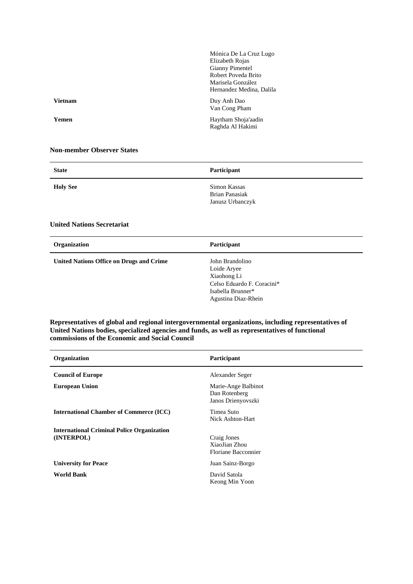|                | Mónica De La Cruz Lugo   |
|----------------|--------------------------|
|                | Elizabeth Rojas          |
|                | Gianny Pimentel          |
|                | Robert Poveda Brito      |
|                | Marisela González        |
|                | Hernandez Medina, Dalila |
| <b>Vietnam</b> | Duy Anh Dao              |
|                | Van Cong Pham            |
| Yemen          | Haytham Shoja'aadin      |
|                | Raghda Al Hakimi         |
|                |                          |

## **Non-member Observer States**

| <b>State</b>                                         | Participant                                               |
|------------------------------------------------------|-----------------------------------------------------------|
| <b>Holy See</b><br><b>United Nations Secretariat</b> | Simon Kassas<br><b>Brian Panasiak</b><br>Janusz Urbanczyk |
| Organization                                         | Participant                                               |

**United Nations Office on Drugs and Crime** John Brandolino

Loide Aryee Xiaohong Li Celso Eduardo F. Coracini\* Isabella Brunner\* Agustina Diaz-Rhein

## **Representatives of global and regional intergovernmental organizations, including representatives of United Nations bodies, specialized agencies and funds, as well as representatives of functional commissions of the Economic and Social Council**

| Organization                                                    | Participant                                                |
|-----------------------------------------------------------------|------------------------------------------------------------|
| <b>Council of Europe</b>                                        | Alexander Seger                                            |
| <b>European Union</b>                                           | Marie-Ange Balbinot<br>Dan Rotenberg<br>Janos Drienyovszki |
| <b>International Chamber of Commerce (ICC)</b>                  | Timea Suto<br>Nick Ashton-Hart                             |
| <b>International Criminal Police Organization</b><br>(INTERPOL) | Craig Jones<br>XiaoJian Zhou<br>Floriane Bacconnier        |
| <b>University for Peace</b>                                     | Juan Sainz-Borgo                                           |
| <b>World Bank</b>                                               | David Satola<br>Keong Min Yoon                             |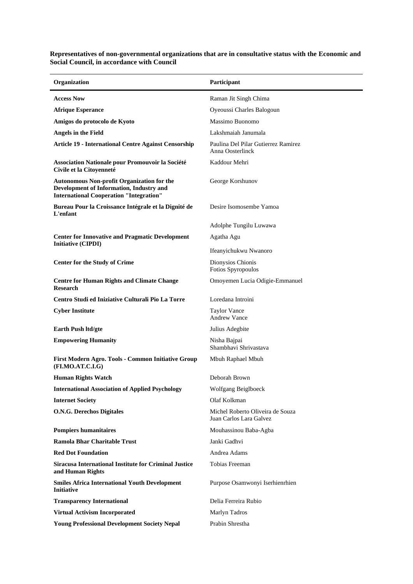**Organization Participant Access Now Raman Jit Singh Chima Afrique Esperance** Oyeoussi Charles Balogoun **Amigos do protocolo de Kyoto** Massimo Buonomo **Angels in the Field** Lakshmaiah Janumala **Article 19 - International Centre Against Censorship** Paulina Del Pilar Gutierrez Ramirez Anna Oosterlinck **Association Nationale pour Promouvoir la Société Civile et la Citoyenneté** Kaddour Mehri **Autonomous Non-profit Organization for the Development of Information, Industry and International Cooperation "Integration"** George Korshunov **Bureau Pour la Croissance Intégrale et la Dignité de L'enfant** Desire Isomosembe Yamoa Adolphe Tungilu Luwawa **Center for Innovative and Pragmatic Development Initiative (CIPDI)** Agatha Agu Ifeanyichukwu Nwanoro **Center for the Study of Crime** Dionysios Chionis Fotios Spyropoulos **Centre for Human Rights and Climate Change Research** Omoyemen Lucia Odigie-Emmanuel **Centro Studi ed Iniziative Culturali Pio La Torre** Loredana Introini **Cyber Institute** Taylor Vance Andrew Vance **Earth Push ltd/gte** Julius Adegbite **Empowering Humanity** Nisha Bajpai Shambhavi Shrivastava **First Modern Agro. Tools - Common Initiative Group (FI.MO.AT.C.I.G)** Mbuh Raphael Mbuh **Human Rights Watch Deborah Brown International Association of Applied Psychology Wolfgang Beiglboeck Internet Society** Olaf Kolkman **O.N.G. Derechos Digitales** Michel Roberto Oliveira de Souza Juan Carlos Lara Galvez **Pompiers humanitaires** Mouhassinou Baba-Agba **Ramola Bhar Charitable Trust** Janki Gadhvi **Red Dot Foundation Andrea Adams Andrea Adams Siracusa International Institute for Criminal Justice and Human Rights** Tobias Freeman **Smiles Africa International Youth Development Initiative** Purpose Osamwonyi Iserhienrhien **Transparency International Delia Ferreira Rubio Virtual Activism Incorporated Marlyn Tadros Young Professional Development Society Nepal** Prabin Shrestha

**Representatives of non-governmental organizations that are in consultative status with the Economic and** 

**Social Council, in accordance with Council**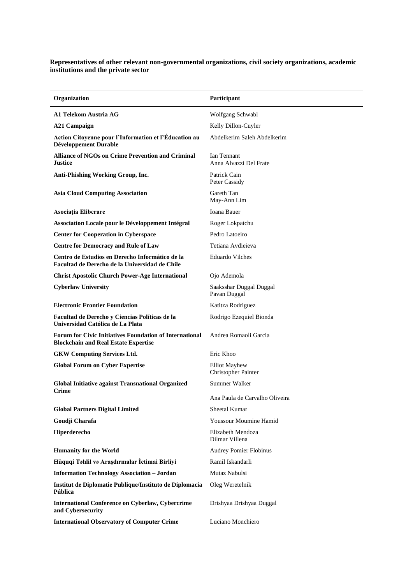**Representatives of other relevant non-governmental organizations, civil society organizations, academic institutions and the private sector**

| Organization                                                                                                  | Participant                                 |
|---------------------------------------------------------------------------------------------------------------|---------------------------------------------|
| A1 Telekom Austria AG                                                                                         | Wolfgang Schwabl                            |
| <b>A21 Campaign</b>                                                                                           | Kelly Dillon-Cuyler                         |
| Action Citoyenne pour l'Information et l'Éducation au<br>Développement Durable                                | Abdelkerim Saleh Abdelkerim                 |
| <b>Alliance of NGOs on Crime Prevention and Criminal</b><br>Justice                                           | Ian Tennant<br>Anna Alvazzi Del Frate       |
| Anti-Phishing Working Group, Inc.                                                                             | Patrick Cain<br>Peter Cassidy               |
| <b>Asia Cloud Computing Association</b>                                                                       | Gareth Tan<br>May-Ann Lim                   |
| Asociația Eliberare                                                                                           | Ioana Bauer                                 |
| Association Locale pour le Développement Intégral                                                             | Roger Lokpatchu                             |
| <b>Center for Cooperation in Cyberspace</b>                                                                   | Pedro Latoeiro                              |
| <b>Centre for Democracy and Rule of Law</b>                                                                   | Tetiana Avdieieva                           |
| Centro de Estudios en Derecho Informático de la<br>Facultad de Derecho de la Universidad de Chile             | <b>Eduardo Vilches</b>                      |
| <b>Christ Apostolic Church Power-Age International</b>                                                        | Ojo Ademola                                 |
| <b>Cyberlaw University</b>                                                                                    | Saaksshar Duggal Duggal<br>Pavan Duggal     |
| <b>Electronic Frontier Foundation</b>                                                                         | Katitza Rodriguez                           |
| Facultad de Derecho y Ciencias Políticas de la<br>Universidad Católica de La Plata                            | Rodrigo Ezequiel Bionda                     |
| <b>Forum for Civic Initiatives Foundation of International</b><br><b>Blockchain and Real Estate Expertise</b> | Andrea Romaoli Garcia                       |
| <b>GKW Computing Services Ltd.</b>                                                                            | Eric Khoo                                   |
| <b>Global Forum on Cyber Expertise</b>                                                                        | <b>Elliot Mayhew</b><br>Christopher Painter |
| <b>Global Initiative against Transnational Organized</b><br>Crime                                             | Summer Walker                               |
|                                                                                                               | Ana Paula de Carvalho Oliveira              |
| <b>Global Partners Digital Limited</b>                                                                        | Sheetal Kumar                               |
| Goudji Charafa                                                                                                | Youssour Moumine Hamid                      |
| Hiperderecho                                                                                                  | Elizabeth Mendoza<br>Dilmar Villena         |
| <b>Humanity for the World</b>                                                                                 | <b>Audrey Pomier Flobinus</b>               |
| Hüquqi Təhlil və Araşdırmalar İctimai Birliyi                                                                 | Ramil Iskandarli                            |
| <b>Information Technology Association - Jordan</b>                                                            | Mutaz Nabulsi                               |
| Institut de Diplomatie Publique/Instituto de Diplomacia<br>Pública                                            | Oleg Weretelnik                             |
| <b>International Conference on Cyberlaw, Cybercrime</b><br>and Cybersecurity                                  | Drishyaa Drishyaa Duggal                    |
| <b>International Observatory of Computer Crime</b>                                                            | Luciano Monchiero                           |